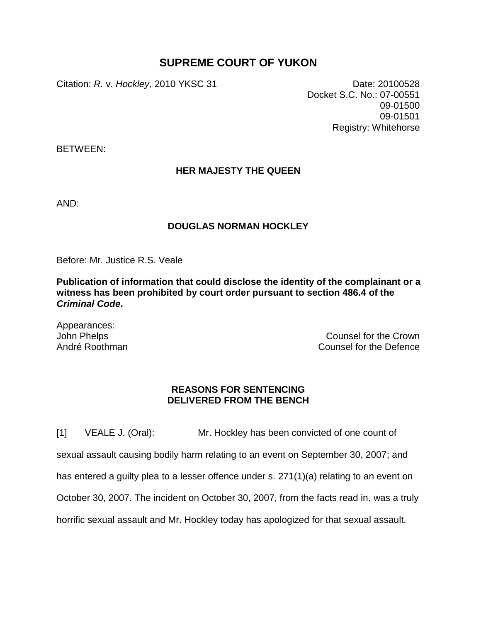## **SUPREME COURT OF YUKON**

Citation: *R.* v. *Hockley,* 2010 YKSC 31 Date: 20100528

Docket S.C. No.: 07-00551 09-01500 09-01501 Registry: Whitehorse

BETWEEN:

## **HER MAJESTY THE QUEEN**

AND:

## **DOUGLAS NORMAN HOCKLEY**

Before: Mr. Justice R.S. Veale

**Publication of information that could disclose the identity of the complainant or a witness has been prohibited by court order pursuant to section 486.4 of the**  *Criminal Code***.**

Appearances: John Phelps André Roothman

Counsel for the Crown Counsel for the Defence

## **REASONS FOR SENTENCING DELIVERED FROM THE BENCH**

[1] VEALE J. (Oral): Mr. Hockley has been convicted of one count of sexual assault causing bodily harm relating to an event on September 30, 2007; and has entered a guilty plea to a lesser offence under s. 271(1)(a) relating to an event on October 30, 2007. The incident on October 30, 2007, from the facts read in, was a truly horrific sexual assault and Mr. Hockley today has apologized for that sexual assault.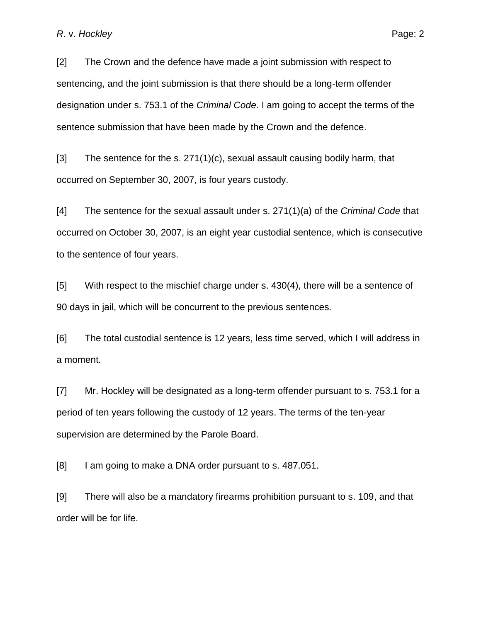[2] The Crown and the defence have made a joint submission with respect to sentencing, and the joint submission is that there should be a long-term offender designation under s. 753.1 of the *Criminal Code*. I am going to accept the terms of the sentence submission that have been made by the Crown and the defence.

[3] The sentence for the s. 271(1)(c), sexual assault causing bodily harm, that occurred on September 30, 2007, is four years custody.

[4] The sentence for the sexual assault under s. 271(1)(a) of the *Criminal Code* that occurred on October 30, 2007, is an eight year custodial sentence, which is consecutive to the sentence of four years.

[5] With respect to the mischief charge under s. 430(4), there will be a sentence of 90 days in jail, which will be concurrent to the previous sentences.

[6] The total custodial sentence is 12 years, less time served, which I will address in a moment.

[7] Mr. Hockley will be designated as a long-term offender pursuant to s. 753.1 for a period of ten years following the custody of 12 years. The terms of the ten-year supervision are determined by the Parole Board.

[8] I am going to make a DNA order pursuant to s. 487.051.

[9] There will also be a mandatory firearms prohibition pursuant to s. 109, and that order will be for life.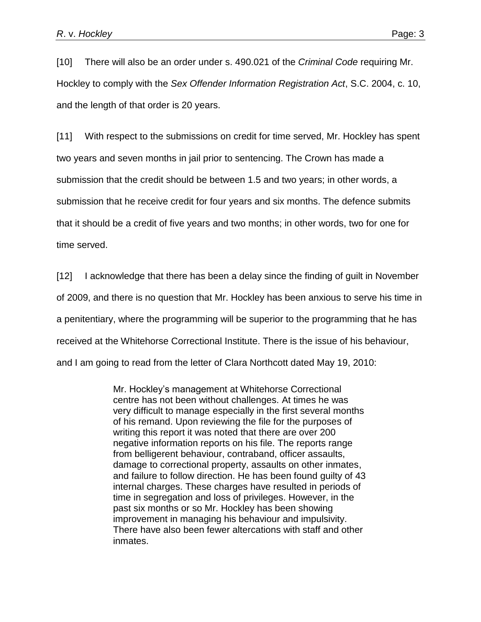[10] There will also be an order under s. 490.021 of the *Criminal Code* requiring Mr. Hockley to comply with the *Sex Offender Information Registration Act*, S.C. 2004, c. 10, and the length of that order is 20 years.

[11] With respect to the submissions on credit for time served, Mr. Hockley has spent two years and seven months in jail prior to sentencing. The Crown has made a submission that the credit should be between 1.5 and two years; in other words, a submission that he receive credit for four years and six months. The defence submits that it should be a credit of five years and two months; in other words, two for one for time served.

[12] I acknowledge that there has been a delay since the finding of guilt in November of 2009, and there is no question that Mr. Hockley has been anxious to serve his time in a penitentiary, where the programming will be superior to the programming that he has received at the Whitehorse Correctional Institute. There is the issue of his behaviour, and I am going to read from the letter of Clara Northcott dated May 19, 2010:

> Mr. Hockley's management at Whitehorse Correctional centre has not been without challenges. At times he was very difficult to manage especially in the first several months of his remand. Upon reviewing the file for the purposes of writing this report it was noted that there are over 200 negative information reports on his file. The reports range from belligerent behaviour, contraband, officer assaults, damage to correctional property, assaults on other inmates, and failure to follow direction. He has been found guilty of 43 internal charges. These charges have resulted in periods of time in segregation and loss of privileges. However, in the past six months or so Mr. Hockley has been showing improvement in managing his behaviour and impulsivity. There have also been fewer altercations with staff and other inmates.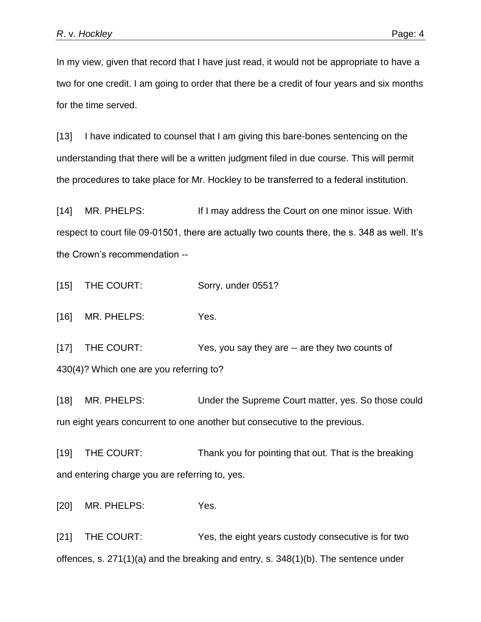In my view, given that record that I have just read, it would not be appropriate to have a two for one credit. I am going to order that there be a credit of four years and six months for the time served.

[13] I have indicated to counsel that I am giving this bare-bones sentencing on the understanding that there will be a written judgment filed in due course. This will permit the procedures to take place for Mr. Hockley to be transferred to a federal institution.

[14] MR. PHELPS: If I may address the Court on one minor issue. With respect to court file 09-01501, there are actually two counts there, the s. 348 as well. It's the Crown's recommendation --

[15] THE COURT: Sorry, under 0551?

[16] MR. PHELPS: Yes.

[17] THE COURT: Yes, you say they are -- are they two counts of 430(4)? Which one are you referring to?

[18] MR. PHELPS: Under the Supreme Court matter, yes. So those could run eight years concurrent to one another but consecutive to the previous.

[19] THE COURT: Thank you for pointing that out. That is the breaking and entering charge you are referring to, yes.

[20] MR. PHELPS: Yes.

[21] THE COURT: Yes, the eight years custody consecutive is for two offences, s. 271(1)(a) and the breaking and entry, s. 348(1)(b). The sentence under